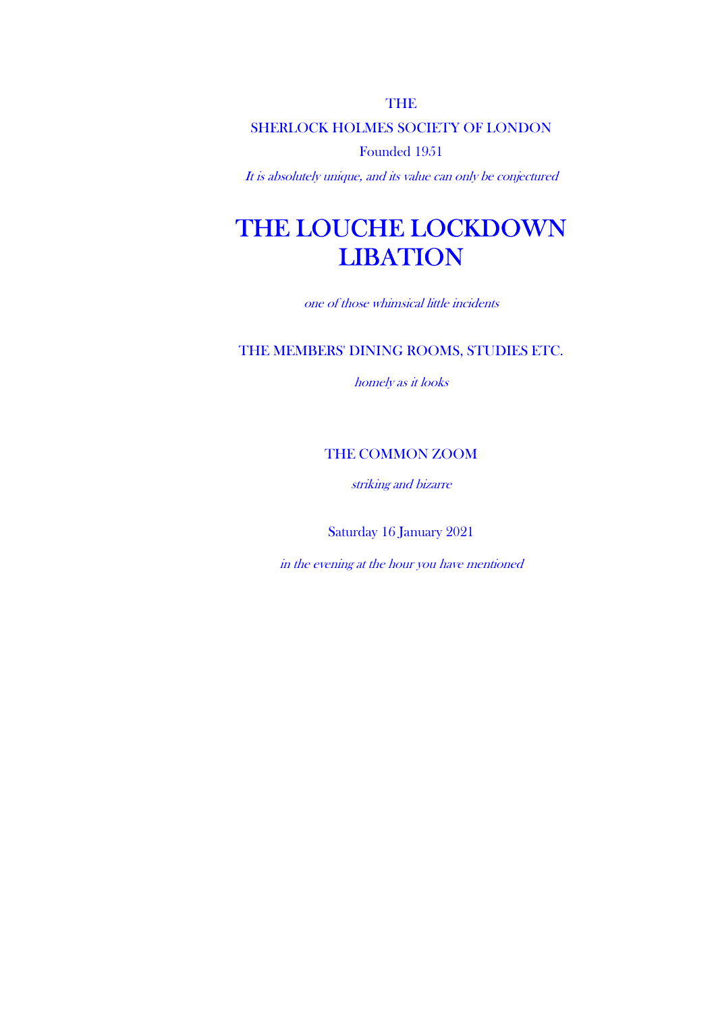THE

SHERLOCK HOLMES SOCIETY OF LONDON

Founded 1951

It is absolutely unique, and its value can only be conjectured

# THE LOUCHE LOCKDOWN **LIBATION**

one of those whimsical little incidents

### THE MEMBERS' DINING ROOMS, STUDIES ETC.

homely as it looks

### THE COMMON ZOOM

striking and bizarre

Saturday 16 January 2021

in the evening at the hour you have mentioned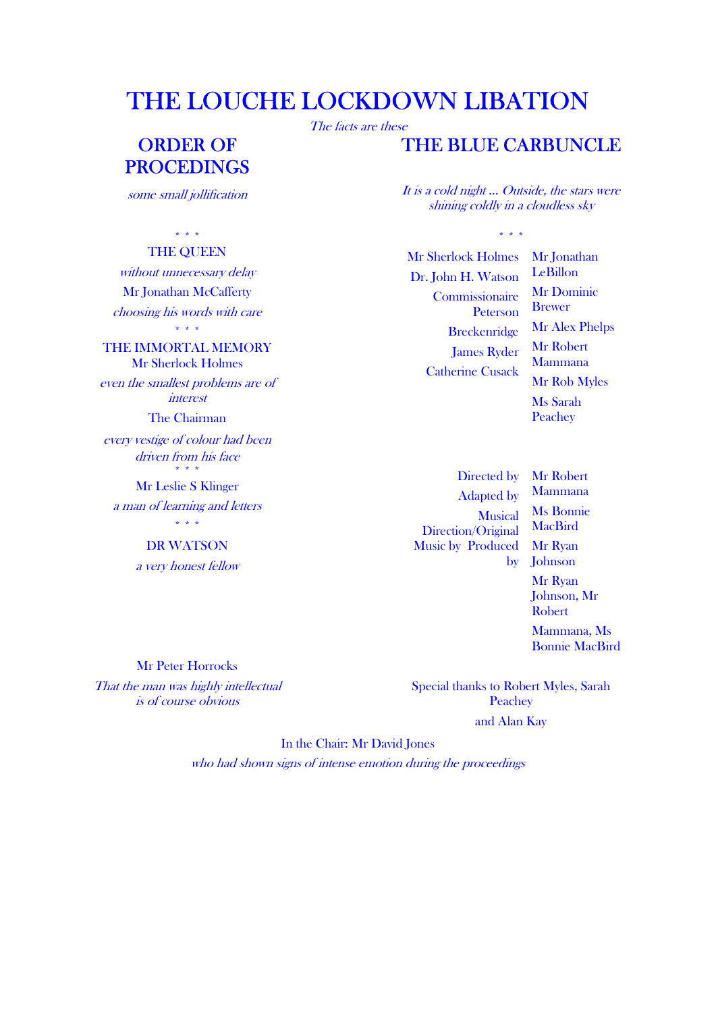## THE LOUCHE LOCKDOWN LIBATION

## ORDER OF PROCEDINGS

some small jollification

### \* \* \* \* \* \*

THE QUEEN without unnecessary delay Mr Jonathan McCafferty choosing his words with care \* \* \*

THE IMMORTAL MEMORY Mr Sherlock Holmes even the smallest problems are of

interest

The Chairman

every vestige of colour had been driven from his face \* \* \*

Mr Leslie S Klinger a man of learning and letters

> \* \* \* DR WATSON

a very honest fellow

Mr Peter Horrocks That the man was highly intellectual is of course obvious

The facts are these

### THE BLUE CARBUNCLE

 It is a cold night … Outside, the stars were shining coldly in a cloudless sky

Mr Sherlock Holmes Dr. John H. Watson Commissionaire Peterson **Breckenridge** James Ryder Catherine Cusack

Mr Jonathan LeBillon Mr Dominic Brewer Mr Alex Phelps Mr Robert Mammana Mr Rob Myles Ms Sarah Peachey

Directed by Adapted by **Musical** Direction/Original Music by Produced

by Johnson Mr Robert Mammana Ms Bonnie **MacBird** Mr Ryan Mr Ryan Johnson, Mr Robert Mammana, Ms

Bonnie MacBird

Special thanks to Robert Myles, Sarah **Peachey** and Alan Kay

In the Chair: Mr David Jones

who had shown signs of intense emotion during the proceedings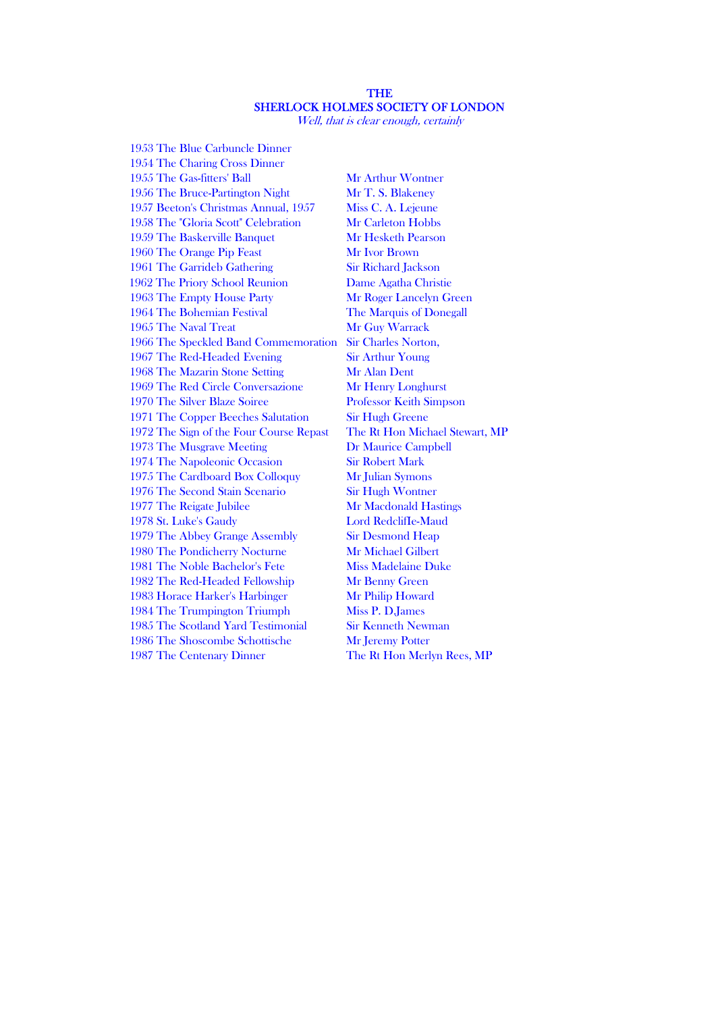#### THE SHERLOCK HOLMES SOCIETY OF LONDON

Well, that is clear enough, certainly

1953 The Blue Carbuncle Dinner 1954 The Charing Cross Dinner 1955 The Gas-fitters' Ball Mr Arthur Wontner 1956 The Bruce-Partington Night Mr T. S. Blakeney 1957 Beeton's Christmas Annual, 1957 Miss C. A. Lejeune 1958 The "Gloria Scott" Celebration Mr Carleton Hobbs 1959 The Baskerville Banquet Mr Hesketh Pearson 1960 The Orange Pip Feast Mr Ivor Brown 1961 The Garrideb Gathering Sir Richard Jackson 1962 The Priory School Reunion Dame Agatha Christie 1963 The Empty House Party Mr Roger Lancelyn Green 1964 The Bohemian Festival The Marquis of Donegall 1965 The Naval Treat Mr Guy Warrack 1966 The Speckled Band Commemoration Sir Charles Norton, 1967 The Red-Headed Evening Sir Arthur Young 1968 The Mazarin Stone Setting Mr Alan Dent 1969 The Red Circle Conversazione Mr Henry Longhurst 1970 The Silver Blaze Soiree Professor Keith Simpson 1971 The Copper Beeches Salutation Sir Hugh Greene 1972 The Sign of the Four Course Repast The Rt Hon Michael Stewart, MP 1973 The Musgrave Meeting Dr Maurice Campbell 1974 The Napoleonic Occasion Sir Robert Mark 1975 The Cardboard Box Colloquy Mr Julian Symons 1976 The Second Stain Scenario Sir Hugh Wontner 1977 The Reigate Jubilee Mr Macdonald Hastings 1978 St. Luke's Gaudy Lord RedclifIe-Maud 1979 The Abbey Grange Assembly Sir Desmond Heap 1980 The Pondicherry Nocturne Mr Michael Gilbert 1981 The Noble Bachelor's Fete Miss Madelaine Duke 1982 The Red-Headed Fellowship Mr Benny Green 1983 Horace Harker's Harbinger Mr Philip Howard 1984 The Trumpington Triumph Miss P. D.James 1985 The Scotland Yard Testimonial Sir Kenneth Newman 1986 The Shoscombe Schottische Mr Jeremy Potter 1987 The Centenary Dinner The Rt Hon Merlyn Rees, MP